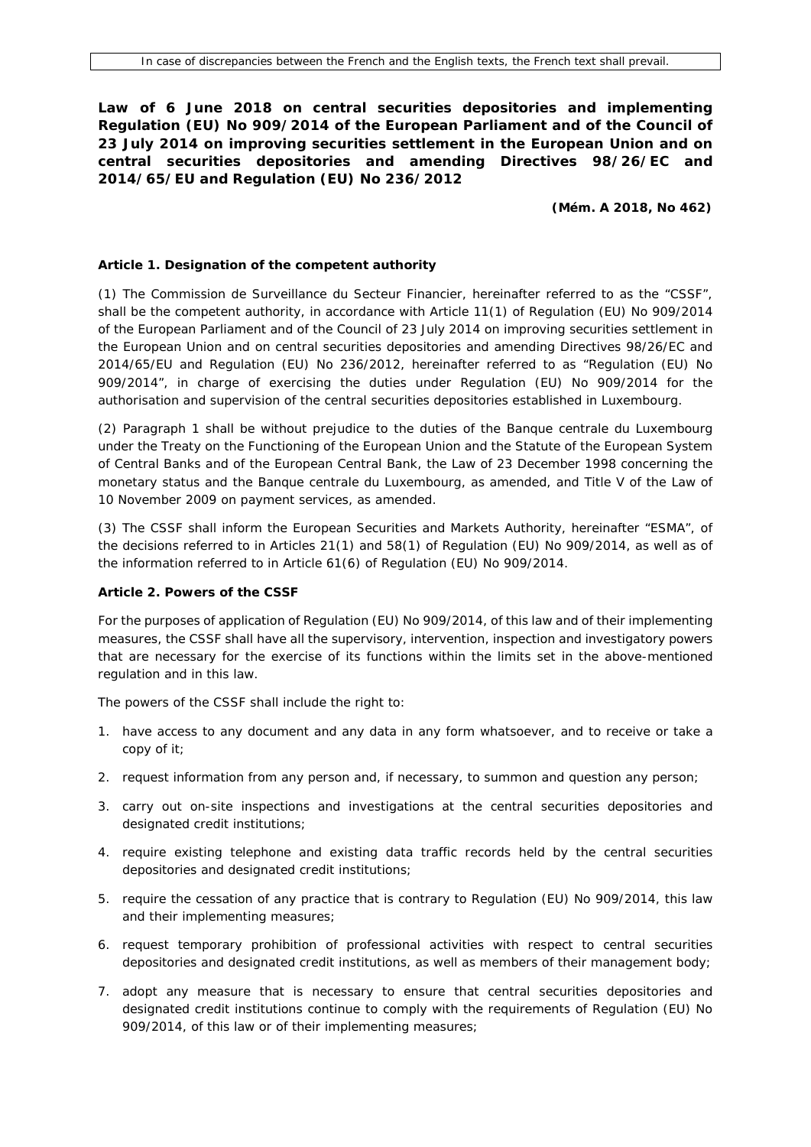**Law of 6 June 2018 on central securities depositories and implementing Regulation (EU) No 909/2014 of the European Parliament and of the Council of 23 July 2014 on improving securities settlement in the European Union and on central securities depositories and amending Directives 98/26/EC and 2014/65/EU and Regulation (EU) No 236/2012**

**(Mém. A 2018, No 462)**

#### **Article 1. Designation of the competent authority**

(1) The Commission de Surveillance du Secteur Financier, hereinafter referred to as the "CSSF", shall be the competent authority, in accordance with Article 11(1) of Regulation (EU) No 909/2014 of the European Parliament and of the Council of 23 July 2014 on improving securities settlement in the European Union and on central securities depositories and amending Directives 98/26/EC and 2014/65/EU and Regulation (EU) No 236/2012, hereinafter referred to as "Regulation (EU) No 909/2014", in charge of exercising the duties under Regulation (EU) No 909/2014 for the authorisation and supervision of the central securities depositories established in Luxembourg.

(2) Paragraph 1 shall be without prejudice to the duties of the Banque centrale du Luxembourg under the Treaty on the Functioning of the European Union and the Statute of the European System of Central Banks and of the European Central Bank, the Law of 23 December 1998 concerning the monetary status and the Banque centrale du Luxembourg, as amended, and Title V of the Law of 10 November 2009 on payment services, as amended.

(3) The CSSF shall inform the European Securities and Markets Authority, hereinafter "ESMA", of the decisions referred to in Articles 21(1) and 58(1) of Regulation (EU) No 909/2014, as well as of the information referred to in Article 61(6) of Regulation (EU) No 909/2014.

#### **Article 2. Powers of the CSSF**

For the purposes of application of Regulation (EU) No 909/2014, of this law and of their implementing measures, the CSSF shall have all the supervisory, intervention, inspection and investigatory powers that are necessary for the exercise of its functions within the limits set in the above-mentioned regulation and in this law.

The powers of the CSSF shall include the right to:

- 1. have access to any document and any data in any form whatsoever, and to receive or take a copy of it;
- 2. request information from any person and, if necessary, to summon and question any person;
- 3. carry out on-site inspections and investigations at the central securities depositories and designated credit institutions;
- 4. require existing telephone and existing data traffic records held by the central securities depositories and designated credit institutions;
- 5. require the cessation of any practice that is contrary to Regulation (EU) No 909/2014, this law and their implementing measures;
- 6. request temporary prohibition of professional activities with respect to central securities depositories and designated credit institutions, as well as members of their management body;
- 7. adopt any measure that is necessary to ensure that central securities depositories and designated credit institutions continue to comply with the requirements of Regulation (EU) No 909/2014, of this law or of their implementing measures;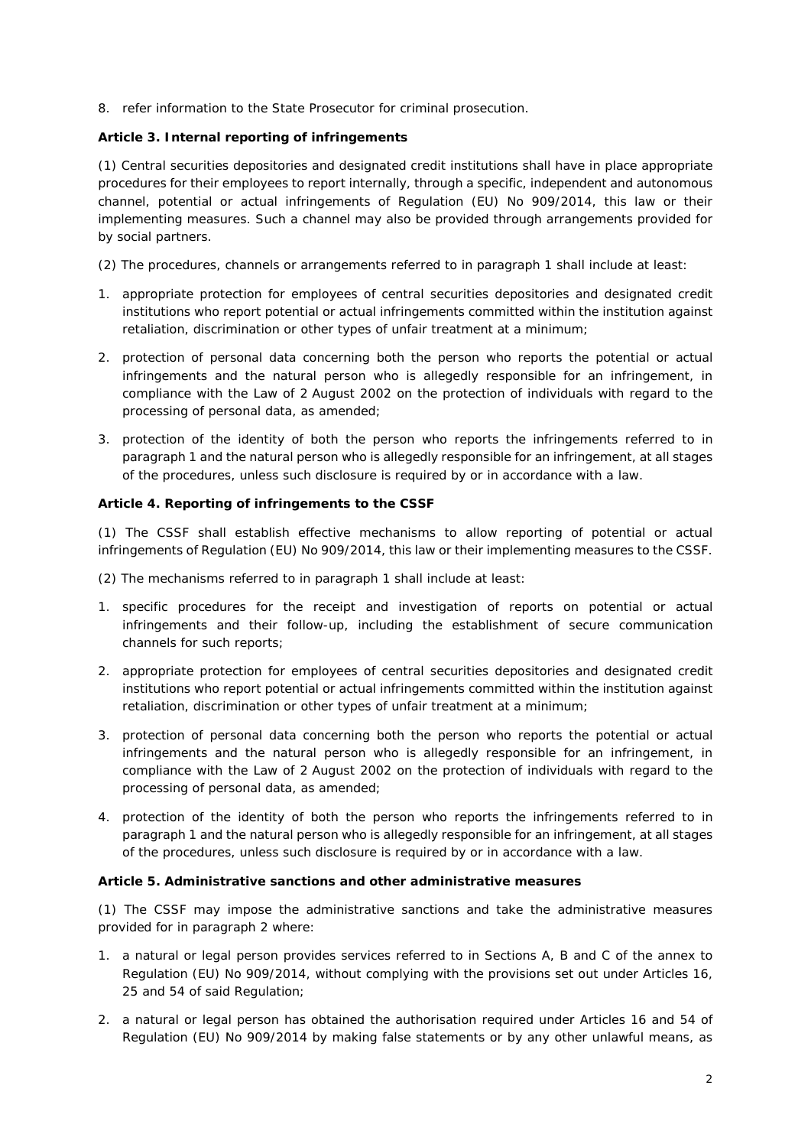8. refer information to the State Prosecutor for criminal prosecution.

# **Article 3. Internal reporting of infringements**

(1) Central securities depositories and designated credit institutions shall have in place appropriate procedures for their employees to report internally, through a specific, independent and autonomous channel, potential or actual infringements of Regulation (EU) No 909/2014, this law or their implementing measures. Such a channel may also be provided through arrangements provided for by social partners.

(2) The procedures, channels or arrangements referred to in paragraph 1 shall include at least:

- 1. appropriate protection for employees of central securities depositories and designated credit institutions who report potential or actual infringements committed within the institution against retaliation, discrimination or other types of unfair treatment at a minimum;
- 2. protection of personal data concerning both the person who reports the potential or actual infringements and the natural person who is allegedly responsible for an infringement, in compliance with the Law of 2 August 2002 on the protection of individuals with regard to the processing of personal data, as amended;
- 3. protection of the identity of both the person who reports the infringements referred to in paragraph 1 and the natural person who is allegedly responsible for an infringement, at all stages of the procedures, unless such disclosure is required by or in accordance with a law.

## **Article 4. Reporting of infringements to the CSSF**

(1) The CSSF shall establish effective mechanisms to allow reporting of potential or actual infringements of Regulation (EU) No 909/2014, this law or their implementing measures to the CSSF.

- (2) The mechanisms referred to in paragraph 1 shall include at least:
- 1. specific procedures for the receipt and investigation of reports on potential or actual infringements and their follow-up, including the establishment of secure communication channels for such reports;
- 2. appropriate protection for employees of central securities depositories and designated credit institutions who report potential or actual infringements committed within the institution against retaliation, discrimination or other types of unfair treatment at a minimum;
- 3. protection of personal data concerning both the person who reports the potential or actual infringements and the natural person who is allegedly responsible for an infringement, in compliance with the Law of 2 August 2002 on the protection of individuals with regard to the processing of personal data, as amended;
- 4. protection of the identity of both the person who reports the infringements referred to in paragraph 1 and the natural person who is allegedly responsible for an infringement, at all stages of the procedures, unless such disclosure is required by or in accordance with a law.

## **Article 5. Administrative sanctions and other administrative measures**

(1) The CSSF may impose the administrative sanctions and take the administrative measures provided for in paragraph 2 where:

- 1. a natural or legal person provides services referred to in Sections A, B and C of the annex to Regulation (EU) No 909/2014, without complying with the provisions set out under Articles 16, 25 and 54 of said Regulation;
- 2. a natural or legal person has obtained the authorisation required under Articles 16 and 54 of Regulation (EU) No 909/2014 by making false statements or by any other unlawful means, as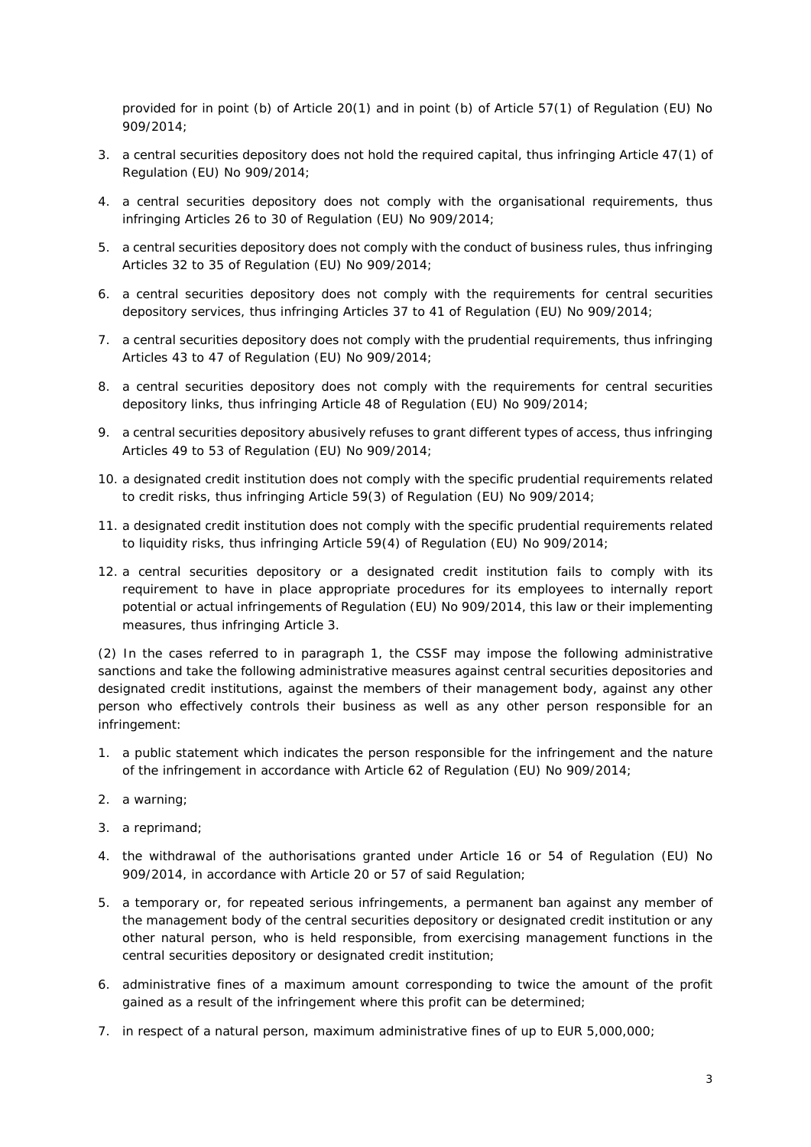provided for in point (b) of Article 20(1) and in point (b) of Article 57(1) of Regulation (EU) No 909/2014;

- 3. a central securities depository does not hold the required capital, thus infringing Article 47(1) of Regulation (EU) No 909/2014;
- 4. a central securities depository does not comply with the organisational requirements, thus infringing Articles 26 to 30 of Regulation (EU) No 909/2014;
- 5. a central securities depository does not comply with the conduct of business rules, thus infringing Articles 32 to 35 of Regulation (EU) No 909/2014;
- 6. a central securities depository does not comply with the requirements for central securities depository services, thus infringing Articles 37 to 41 of Regulation (EU) No 909/2014;
- 7. a central securities depository does not comply with the prudential requirements, thus infringing Articles 43 to 47 of Regulation (EU) No 909/2014;
- 8. a central securities depository does not comply with the requirements for central securities depository links, thus infringing Article 48 of Regulation (EU) No 909/2014;
- 9. a central securities depository abusively refuses to grant different types of access, thus infringing Articles 49 to 53 of Regulation (EU) No 909/2014;
- 10. a designated credit institution does not comply with the specific prudential requirements related to credit risks, thus infringing Article 59(3) of Regulation (EU) No 909/2014;
- 11. a designated credit institution does not comply with the specific prudential requirements related to liquidity risks, thus infringing Article 59(4) of Regulation (EU) No 909/2014;
- 12. a central securities depository or a designated credit institution fails to comply with its requirement to have in place appropriate procedures for its employees to internally report potential or actual infringements of Regulation (EU) No 909/2014, this law or their implementing measures, thus infringing Article 3.

(2) In the cases referred to in paragraph 1, the CSSF may impose the following administrative sanctions and take the following administrative measures against central securities depositories and designated credit institutions, against the members of their management body, against any other person who effectively controls their business as well as any other person responsible for an infringement:

- 1. a public statement which indicates the person responsible for the infringement and the nature of the infringement in accordance with Article 62 of Regulation (EU) No 909/2014;
- 2. a warning;
- 3. a reprimand;
- 4. the withdrawal of the authorisations granted under Article 16 or 54 of Regulation (EU) No 909/2014, in accordance with Article 20 or 57 of said Regulation;
- 5. a temporary or, for repeated serious infringements, a permanent ban against any member of the management body of the central securities depository or designated credit institution or any other natural person, who is held responsible, from exercising management functions in the central securities depository or designated credit institution;
- 6. administrative fines of a maximum amount corresponding to twice the amount of the profit gained as a result of the infringement where this profit can be determined;
- 7. in respect of a natural person, maximum administrative fines of up to EUR 5,000,000;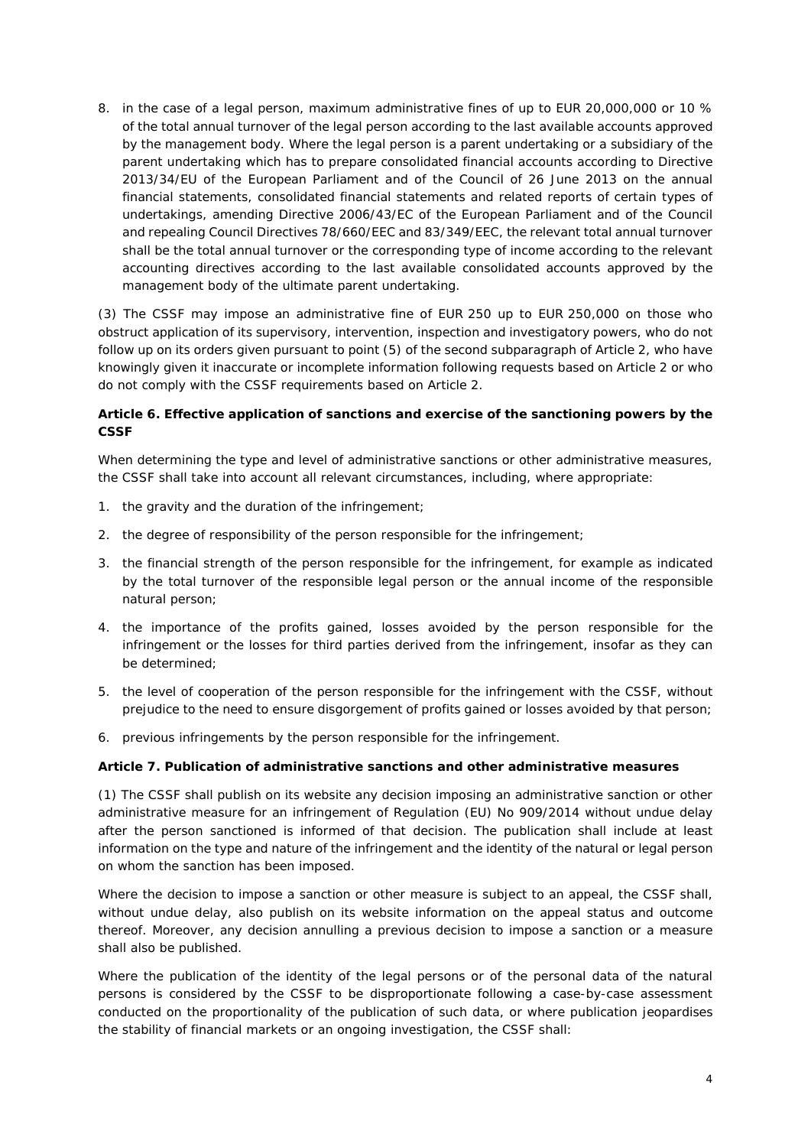8. in the case of a legal person, maximum administrative fines of up to EUR 20,000,000 or 10 % of the total annual turnover of the legal person according to the last available accounts approved by the management body. Where the legal person is a parent undertaking or a subsidiary of the parent undertaking which has to prepare consolidated financial accounts according to Directive 2013/34/EU of the European Parliament and of the Council of 26 June 2013 on the annual financial statements, consolidated financial statements and related reports of certain types of undertakings, amending Directive 2006/43/EC of the European Parliament and of the Council and repealing Council Directives 78/660/EEC and 83/349/EEC, the relevant total annual turnover shall be the total annual turnover or the corresponding type of income according to the relevant accounting directives according to the last available consolidated accounts approved by the management body of the ultimate parent undertaking.

(3) The CSSF may impose an administrative fine of EUR 250 up to EUR 250,000 on those who obstruct application of its supervisory, intervention, inspection and investigatory powers, who do not follow up on its orders given pursuant to point (5) of the second subparagraph of Article 2, who have knowingly given it inaccurate or incomplete information following requests based on Article 2 or who do not comply with the CSSF requirements based on Article 2.

# **Article 6. Effective application of sanctions and exercise of the sanctioning powers by the CSSF**

When determining the type and level of administrative sanctions or other administrative measures, the CSSF shall take into account all relevant circumstances, including, where appropriate:

- 1. the gravity and the duration of the infringement;
- 2. the degree of responsibility of the person responsible for the infringement;
- 3. the financial strength of the person responsible for the infringement, for example as indicated by the total turnover of the responsible legal person or the annual income of the responsible natural person;
- 4. the importance of the profits gained, losses avoided by the person responsible for the infringement or the losses for third parties derived from the infringement, insofar as they can be determined;
- 5. the level of cooperation of the person responsible for the infringement with the CSSF, without prejudice to the need to ensure disgorgement of profits gained or losses avoided by that person;
- 6. previous infringements by the person responsible for the infringement.

# **Article 7. Publication of administrative sanctions and other administrative measures**

(1) The CSSF shall publish on its website any decision imposing an administrative sanction or other administrative measure for an infringement of Regulation (EU) No 909/2014 without undue delay after the person sanctioned is informed of that decision. The publication shall include at least information on the type and nature of the infringement and the identity of the natural or legal person on whom the sanction has been imposed.

Where the decision to impose a sanction or other measure is subject to an appeal, the CSSF shall, without undue delay, also publish on its website information on the appeal status and outcome thereof. Moreover, any decision annulling a previous decision to impose a sanction or a measure shall also be published.

Where the publication of the identity of the legal persons or of the personal data of the natural persons is considered by the CSSF to be disproportionate following a case-by-case assessment conducted on the proportionality of the publication of such data, or where publication jeopardises the stability of financial markets or an ongoing investigation, the CSSF shall: